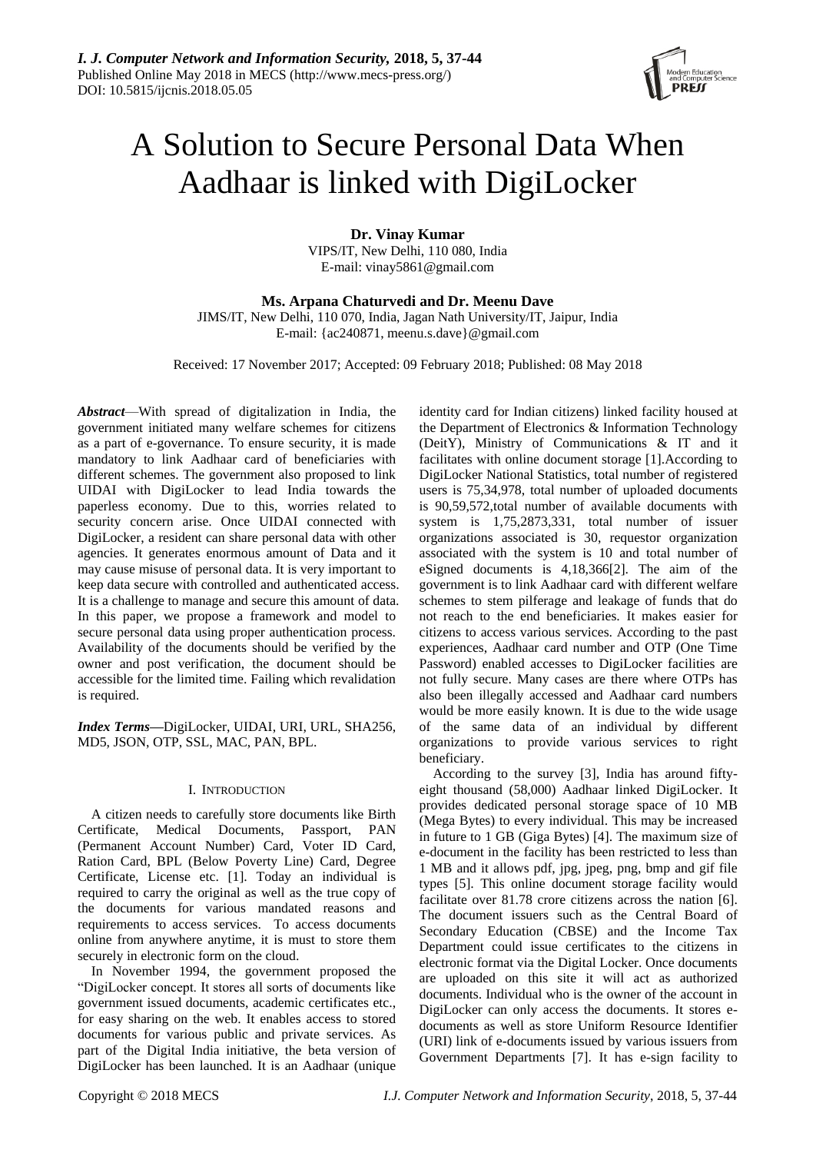

# A Solution to Secure Personal Data When Aadhaar is linked with DigiLocker

**Dr. Vinay Kumar** VIPS/IT, New Delhi, 110 080, India E-mail: vinay5861@gmail.com

**Ms. Arpana Chaturvedi and Dr. Meenu Dave**

JIMS/IT, New Delhi, 110 070, India, Jagan Nath University/IT, Jaipur, India E-mail: {ac240871, meenu.s.dave}@gmail.com

Received: 17 November 2017; Accepted: 09 February 2018; Published: 08 May 2018

*Abstract*—With spread of digitalization in India, the government initiated many welfare schemes for citizens as a part of e-governance. To ensure security, it is made mandatory to link Aadhaar card of beneficiaries with different schemes. The government also proposed to link UIDAI with DigiLocker to lead India towards the paperless economy. Due to this, worries related to security concern arise. Once UIDAI connected with DigiLocker, a resident can share personal data with other agencies. It generates enormous amount of Data and it may cause misuse of personal data. It is very important to keep data secure with controlled and authenticated access. It is a challenge to manage and secure this amount of data. In this paper, we propose a framework and model to secure personal data using proper authentication process. Availability of the documents should be verified by the owner and post verification, the document should be accessible for the limited time. Failing which revalidation is required.

*Index Terms***—**DigiLocker, UIDAI, URI, URL, SHA256, MD5, JSON, OTP, SSL, MAC, PAN, BPL.

# I. INTRODUCTION

A citizen needs to carefully store documents like Birth Certificate, Medical Documents, Passport, PAN (Permanent Account Number) Card, Voter ID Card, Ration Card, BPL (Below Poverty Line) Card, Degree Certificate, License etc. [1]. Today an individual is required to carry the original as well as the true copy of the documents for various mandated reasons and requirements to access services. To access documents online from anywhere anytime, it is must to store them securely in electronic form on the cloud.

In November 1994, the government proposed the "DigiLocker concept. It stores all sorts of documents like government issued documents, academic certificates etc., for easy sharing on the web. It enables access to stored documents for various public and private services. As part of the Digital India initiative, the beta version of DigiLocker has been launched. It is an Aadhaar (unique

identity card for Indian citizens) linked facility housed at the Department of Electronics & Information Technology (DeitY), Ministry of Communications & IT and it facilitates with online document storage [1].According to DigiLocker National Statistics, total number of registered users is 75,34,978, total number of uploaded documents is 90,59,572,total number of available documents with system is 1,75,2873,331, total number of issuer organizations associated is 30, requestor organization associated with the system is 10 and total number of eSigned documents is 4,18,366[2]. The aim of the government is to link Aadhaar card with different welfare schemes to stem pilferage and leakage of funds that do not reach to the end beneficiaries. It makes easier for citizens to access various services. According to the past experiences, Aadhaar card number and OTP (One Time Password) enabled accesses to DigiLocker facilities are not fully secure. Many cases are there where OTPs has also been illegally accessed and Aadhaar card numbers would be more easily known. It is due to the wide usage of the same data of an individual by different organizations to provide various services to right beneficiary.

According to the survey [3], India has around fiftyeight thousand (58,000) Aadhaar linked DigiLocker. It provides dedicated personal storage space of 10 MB (Mega Bytes) to every individual. This may be increased in future to 1 GB (Giga Bytes) [4]. The maximum size of e-document in the facility has been restricted to less than 1 MB and it allows pdf, jpg, jpeg, png, bmp and gif file types [5]. This online document storage facility would facilitate over 81.78 crore citizens across the nation [6]. The document issuers such as the Central Board of Secondary Education (CBSE) and the Income Tax Department could issue certificates to the citizens in electronic format via the Digital Locker. Once documents are uploaded on this site it will act as authorized documents. Individual who is the owner of the account in DigiLocker can only access the documents. It stores edocuments as well as store Uniform Resource Identifier (URI) link of e-documents issued by various issuers from Government Departments [7]. It has e-sign facility to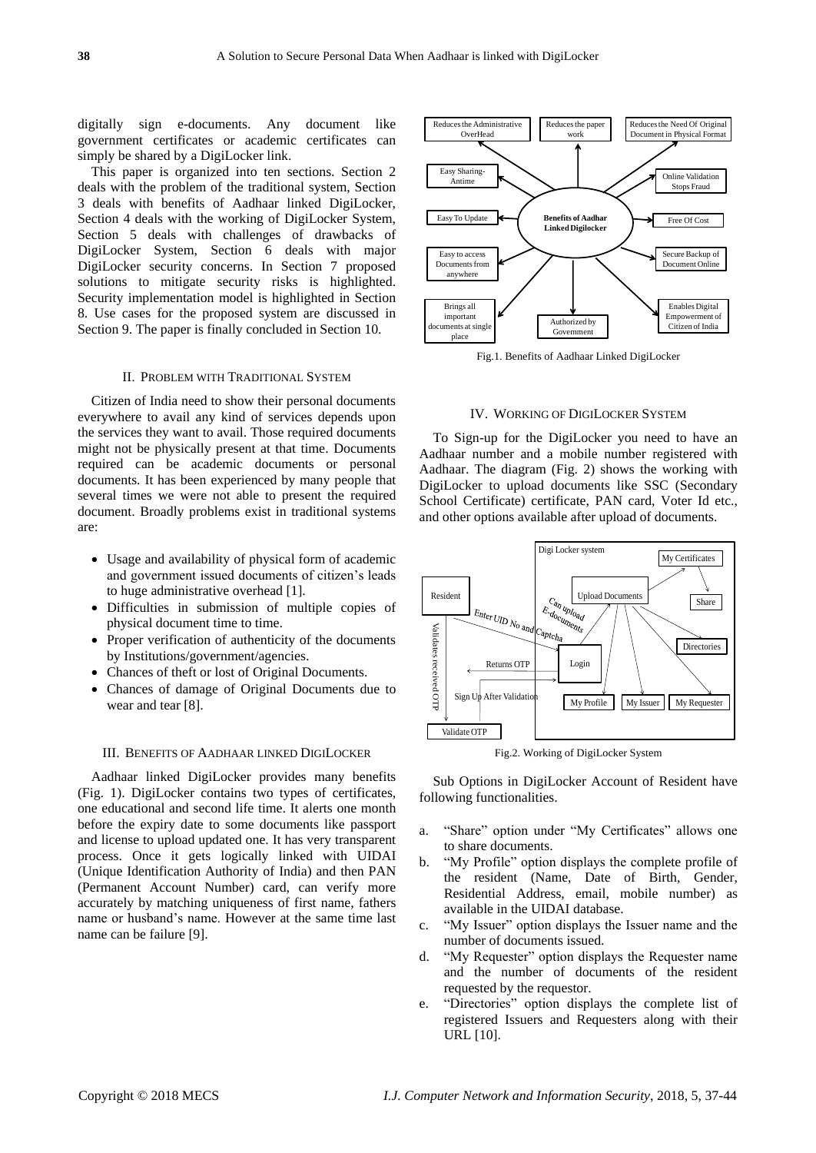digitally sign e-documents. Any document like government certificates or academic certificates can simply be shared by a DigiLocker link.

This paper is organized into ten sections. Section 2 deals with the problem of the traditional system, Section 3 deals with benefits of Aadhaar linked DigiLocker, Section 4 deals with the working of DigiLocker System, Section 5 deals with challenges of drawbacks of DigiLocker System, Section 6 deals with major DigiLocker security concerns. In Section 7 proposed solutions to mitigate security risks is highlighted. Security implementation model is highlighted in Section 8. Use cases for the proposed system are discussed in Section 9. The paper is finally concluded in Section 10.

#### II. PROBLEM WITH TRADITIONAL SYSTEM

Citizen of India need to show their personal documents everywhere to avail any kind of services depends upon the services they want to avail. Those required documents might not be physically present at that time. Documents required can be academic documents or personal documents. It has been experienced by many people that several times we were not able to present the required document. Broadly problems exist in traditional systems are:

- Usage and availability of physical form of academic and government issued documents of citizen's leads to huge administrative overhead [1].
- Difficulties in submission of multiple copies of physical document time to time.
- Proper verification of authenticity of the documents by Institutions/government/agencies.
- Chances of theft or lost of Original Documents.
- Chances of damage of Original Documents due to wear and tear [8].

#### III. BENEFITS OF AADHAAR LINKED DIGILOCKER

Aadhaar linked DigiLocker provides many benefits (Fig. 1). DigiLocker contains two types of certificates, one educational and second life time. It alerts one month before the expiry date to some documents like passport and license to upload updated one. It has very transparent process. Once it gets logically linked with UIDAI (Unique Identification Authority of India) and then PAN (Permanent Account Number) card, can verify more accurately by matching uniqueness of first name, fathers name or husband's name. However at the same time last name can be failure [9].



Fig.1. Benefits of Aadhaar Linked DigiLocker

#### IV. WORKING OF DIGILOCKER SYSTEM

To Sign-up for the DigiLocker you need to have an Aadhaar number and a mobile number registered with Aadhaar. The diagram (Fig. 2) shows the working with DigiLocker to upload documents like SSC (Secondary School Certificate) certificate, PAN card, Voter Id etc., and other options available after upload of documents.



Fig.2. Working of DigiLocker System

Sub Options in DigiLocker Account of Resident have following functionalities.

- a. "Share" option under "My Certificates" allows one to share documents.
- b. "My Profile" option displays the complete profile of the resident (Name, Date of Birth, Gender, Residential Address, email, mobile number) as available in the UIDAI database.
- c. "My Issuer" option displays the Issuer name and the number of documents issued.
- d. "My Requester" option displays the Requester name and the number of documents of the resident requested by the requestor.
- e. "Directories" option displays the complete list of registered Issuers and Requesters along with their URL [10].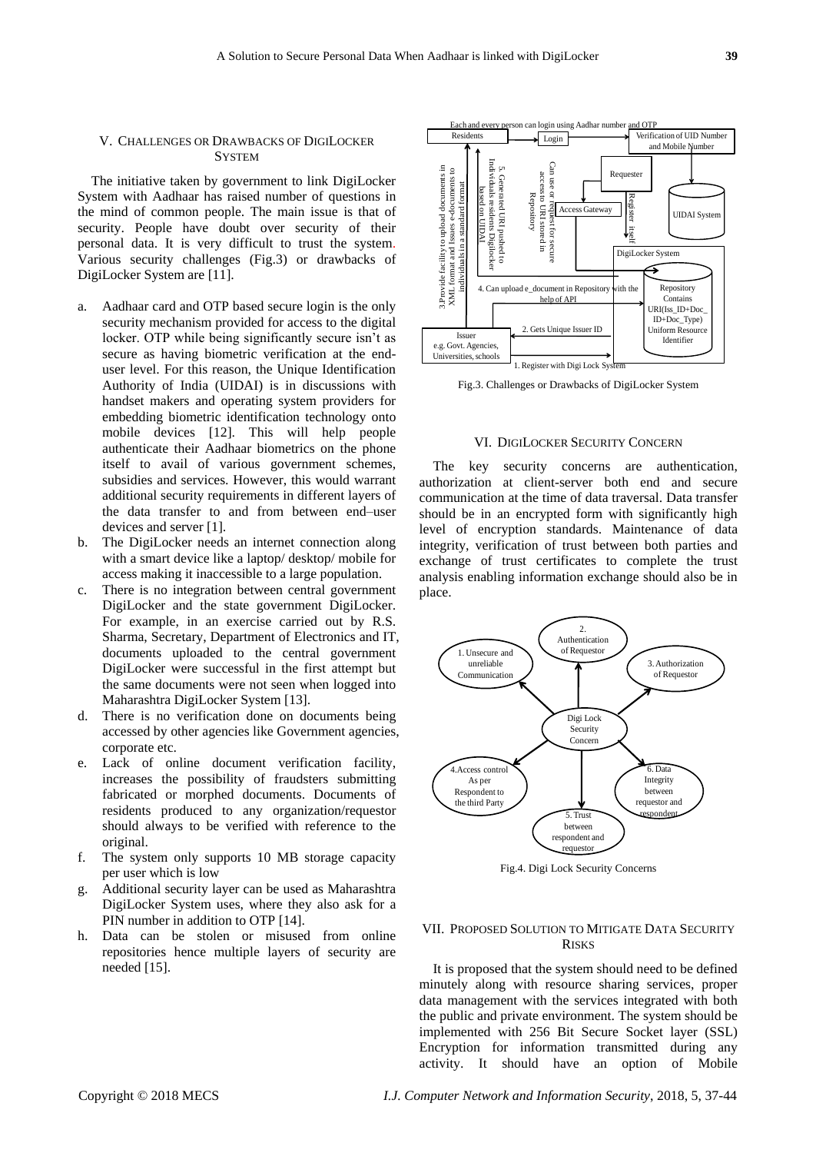# V. CHALLENGES OR DRAWBACKS OF DIGILOCKER **SYSTEM**

The initiative taken by government to link DigiLocker System with Aadhaar has raised number of questions in the mind of common people. The main issue is that of security. People have doubt over security of their personal data. It is very difficult to trust the system. Various security challenges (Fig.3) or drawbacks of DigiLocker System are [11].

- a. Aadhaar card and OTP based secure login is the only security mechanism provided for access to the digital locker. OTP while being significantly secure isn't as secure as having biometric verification at the enduser level. For this reason, the Unique Identification Authority of India (UIDAI) is in discussions with handset makers and operating system providers for embedding biometric identification technology onto mobile devices [12]. This will help people authenticate their Aadhaar biometrics on the phone itself to avail of various government schemes, subsidies and services. However, this would warrant additional security requirements in different layers of the data transfer to and from between end–user devices and server [1].
- b. The DigiLocker needs an internet connection along with a smart device like a laptop/ desktop/ mobile for access making it inaccessible to a large population.
- c. There is no integration between central government DigiLocker and the state government DigiLocker. For example, in an exercise carried out by R.S. Sharma, Secretary, Department of Electronics and IT, documents uploaded to the central government DigiLocker were successful in the first attempt but the same documents were not seen when logged into Maharashtra DigiLocker System [13].
- d. There is no verification done on documents being accessed by other agencies like Government agencies, corporate etc.
- e. Lack of online document verification facility, increases the possibility of fraudsters submitting fabricated or morphed documents. Documents of residents produced to any organization/requestor should always to be verified with reference to the original.
- f. The system only supports 10 MB storage capacity per user which is low
- g. Additional security layer can be used as Maharashtra DigiLocker System uses, where they also ask for a PIN number in addition to OTP [14].
- h. Data can be stolen or misused from online repositories hence multiple layers of security are needed [15].



Fig.3. Challenges or Drawbacks of DigiLocker System

#### VI. DIGILOCKER SECURITY CONCERN

The key security concerns are authentication, authorization at client-server both end and secure communication at the time of data traversal. Data transfer should be in an encrypted form with significantly high level of encryption standards. Maintenance of data integrity, verification of trust between both parties and exchange of trust certificates to complete the trust analysis enabling information exchange should also be in place.



Fig.4. Digi Lock Security Concerns

# VII. PROPOSED SOLUTION TO MITIGATE DATA SECURITY RISKS

It is proposed that the system should need to be defined minutely along with resource sharing services, proper data management with the services integrated with both the public and private environment. The system should be implemented with 256 Bit Secure Socket layer (SSL) Encryption for information transmitted during any activity. It should have an option of Mobile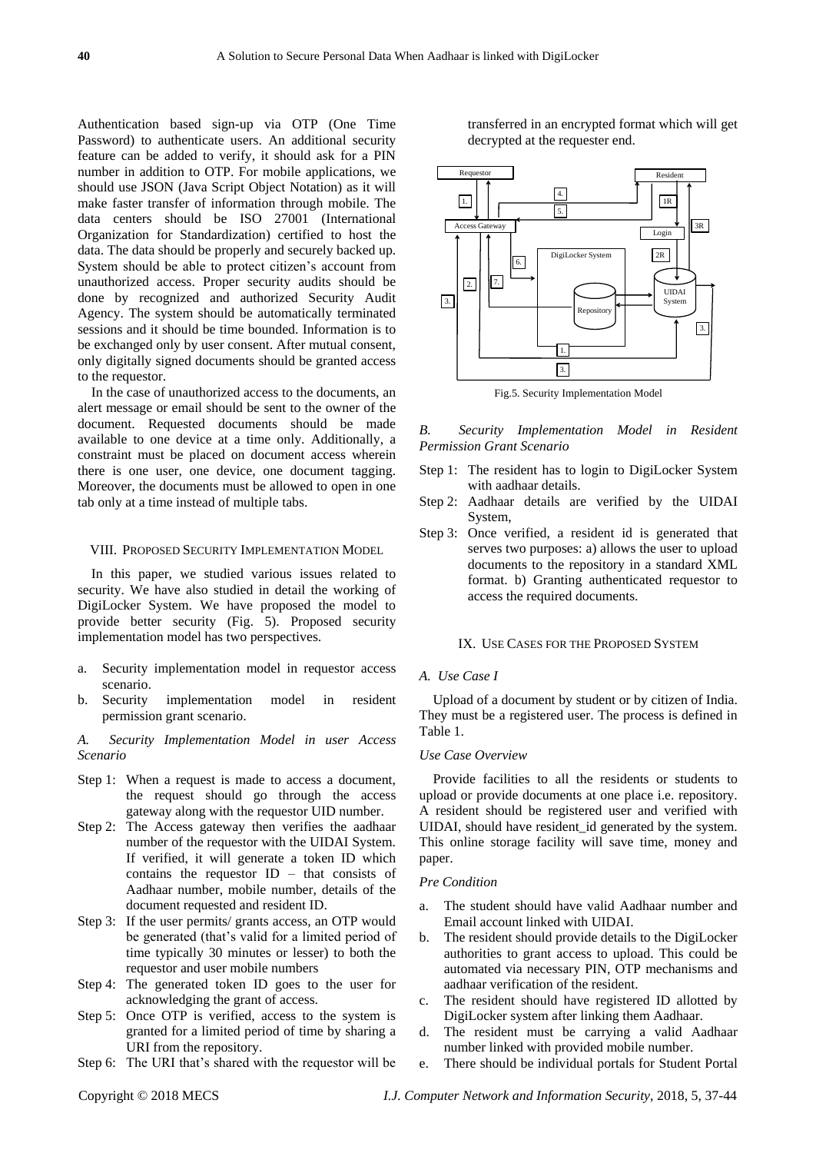Authentication based sign-up via OTP (One Time Password) to authenticate users. An additional security feature can be added to verify, it should ask for a PIN number in addition to OTP. For mobile applications, we should use JSON (Java Script Object Notation) as it will make faster transfer of information through mobile. The data centers should be ISO 27001 (International Organization for Standardization) certified to host the data. The data should be properly and securely backed up. System should be able to protect citizen's account from unauthorized access. Proper security audits should be done by recognized and authorized Security Audit Agency. The system should be automatically terminated sessions and it should be time bounded. Information is to be exchanged only by user consent. After mutual consent, only digitally signed documents should be granted access to the requestor.

In the case of unauthorized access to the documents, an alert message or email should be sent to the owner of the document. Requested documents should be made available to one device at a time only. Additionally, a constraint must be placed on document access wherein there is one user, one device, one document tagging. Moreover, the documents must be allowed to open in one tab only at a time instead of multiple tabs.

## VIII. PROPOSED SECURITY IMPLEMENTATION MODEL

In this paper, we studied various issues related to security. We have also studied in detail the working of DigiLocker System. We have proposed the model to provide better security (Fig. 5). Proposed security implementation model has two perspectives.

- a. Security implementation model in requestor access scenario.
- b. Security implementation model in resident permission grant scenario.

*A. Security Implementation Model in user Access Scenario*

- Step 1: When a request is made to access a document, the request should go through the access gateway along with the requestor UID number.
- Step 2: The Access gateway then verifies the aadhaar number of the requestor with the UIDAI System. If verified, it will generate a token ID which contains the requestor ID – that consists of Aadhaar number, mobile number, details of the document requested and resident ID.
- Step 3: If the user permits/ grants access, an OTP would be generated (that's valid for a limited period of time typically 30 minutes or lesser) to both the requestor and user mobile numbers
- Step 4: The generated token ID goes to the user for acknowledging the grant of access.
- Step 5: Once OTP is verified, access to the system is granted for a limited period of time by sharing a URI from the repository.
- Step 6: The URI that's shared with the requestor will be

transferred in an encrypted format which will get decrypted at the requester end.



Fig.5. Security Implementation Model

*B. Security Implementation Model in Resident Permission Grant Scenario*

- Step 1: The resident has to login to DigiLocker System with aadhaar details.
- Step 2: Aadhaar details are verified by the UIDAI System,
- Step 3: Once verified, a resident id is generated that serves two purposes: a) allows the user to upload documents to the repository in a standard XML format. b) Granting authenticated requestor to access the required documents.

#### IX. USE CASES FOR THE PROPOSED SYSTEM

## *A. Use Case I*

Upload of a document by student or by citizen of India. They must be a registered user. The process is defined in Table 1.

# *Use Case Overview*

Provide facilities to all the residents or students to upload or provide documents at one place i.e. repository. A resident should be registered user and verified with UIDAI, should have resident\_id generated by the system. This online storage facility will save time, money and paper.

#### *Pre Condition*

- a. The student should have valid Aadhaar number and Email account linked with UIDAI.
- b. The resident should provide details to the DigiLocker authorities to grant access to upload. This could be automated via necessary PIN, OTP mechanisms and aadhaar verification of the resident.
- c. The resident should have registered ID allotted by DigiLocker system after linking them Aadhaar.
- d. The resident must be carrying a valid Aadhaar number linked with provided mobile number.
- e. There should be individual portals for Student Portal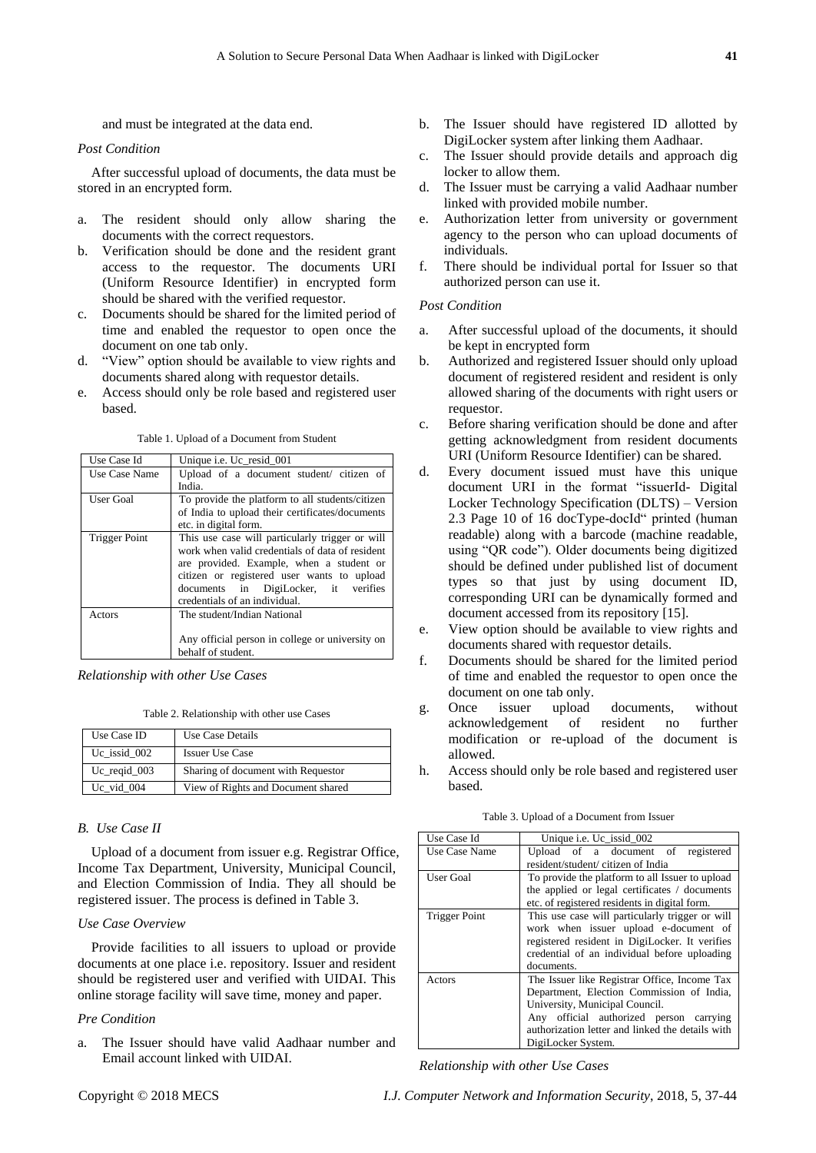and must be integrated at the data end.

#### *Post Condition*

After successful upload of documents, the data must be stored in an encrypted form.

- a. The resident should only allow sharing the documents with the correct requestors.
- b. Verification should be done and the resident grant access to the requestor. The documents URI (Uniform Resource Identifier) in encrypted form should be shared with the verified requestor.
- c. Documents should be shared for the limited period of time and enabled the requestor to open once the document on one tab only.
- d. "View" option should be available to view rights and documents shared along with requestor details.
- e. Access should only be role based and registered user based.

Table 1. Upload of a Document from Student

| Use Case Id   | Unique <i>i.e.</i> Uc resid 001                    |
|---------------|----------------------------------------------------|
| Use Case Name | Upload of a document student/ citizen of<br>India. |
| User Goal     | To provide the platform to all students/citizen    |

| ose case i anno      | opiona of a aboumont stadent children of                                                                                                                                                                                                                              |  |
|----------------------|-----------------------------------------------------------------------------------------------------------------------------------------------------------------------------------------------------------------------------------------------------------------------|--|
|                      | India.                                                                                                                                                                                                                                                                |  |
| User Goal            | To provide the platform to all students/citizen                                                                                                                                                                                                                       |  |
|                      | of India to upload their certificates/documents                                                                                                                                                                                                                       |  |
|                      | etc. in digital form.                                                                                                                                                                                                                                                 |  |
| <b>Trigger Point</b> | This use case will particularly trigger or will<br>work when valid credentials of data of resident<br>are provided. Example, when a student or<br>citizen or registered user wants to upload<br>documents in DigiLocker, it verifies<br>credentials of an individual. |  |
| Actors               | The student/Indian National<br>Any official person in college or university on<br>behalf of student.                                                                                                                                                                  |  |

*Relationship with other Use Cases*

Table 2. Relationship with other use Cases

| Use Case ID                 | Use Case Details                   |
|-----------------------------|------------------------------------|
| Uc issid 002                | <b>Issuer Use Case</b>             |
| $Uc$ <sub>reqid</sub> $003$ | Sharing of document with Requestor |
| Uc vid 004                  | View of Rights and Document shared |

#### *B. Use Case II*

Upload of a document from issuer e.g. Registrar Office, Income Tax Department, University, Municipal Council, and Election Commission of India. They all should be registered issuer. The process is defined in Table 3.

## *Use Case Overview*

Provide facilities to all issuers to upload or provide documents at one place i.e. repository. Issuer and resident should be registered user and verified with UIDAI. This online storage facility will save time, money and paper.

#### *Pre Condition*

a. The Issuer should have valid Aadhaar number and Email account linked with UIDAI.

- b. The Issuer should have registered ID allotted by DigiLocker system after linking them Aadhaar.
- c. The Issuer should provide details and approach dig locker to allow them.
- d. The Issuer must be carrying a valid Aadhaar number linked with provided mobile number.
- e. Authorization letter from university or government agency to the person who can upload documents of individuals.
- f. There should be individual portal for Issuer so that authorized person can use it.

#### *Post Condition*

- a. After successful upload of the documents, it should be kept in encrypted form
- b. Authorized and registered Issuer should only upload document of registered resident and resident is only allowed sharing of the documents with right users or requestor.
- c. Before sharing verification should be done and after getting acknowledgment from resident documents URI (Uniform Resource Identifier) can be shared.
- d. Every document issued must have this unique document URI in the format "issuerId- Digital Locker Technology Specification (DLTS) – Version 2.3 Page 10 of 16 docType-docId" printed (human readable) along with a barcode (machine readable, using "QR code"). Older documents being digitized should be defined under published list of document types so that just by using document ID, corresponding URI can be dynamically formed and document accessed from its repository [15].
- e. View option should be available to view rights and documents shared with requestor details.
- f. Documents should be shared for the limited period of time and enabled the requestor to open once the document on one tab only.
- g. Once issuer upload documents, without acknowledgement of resident no further modification or re-upload of the document is allowed.
- h. Access should only be role based and registered user based.

Table 3. Upload of a Document from Issuer

| Use Case Id          | Unique <i>i.e.</i> Uc issid 002                  |
|----------------------|--------------------------------------------------|
| Use Case Name        | Upload of a document of<br>registered            |
|                      | resident/student/citizen of India                |
| <b>User Goal</b>     | To provide the platform to all Issuer to upload  |
|                      | the applied or legal certificates / documents    |
|                      | etc. of registered residents in digital form.    |
| <b>Trigger Point</b> | This use case will particularly trigger or will  |
|                      | work when issuer upload e-document of            |
|                      | registered resident in DigiLocker. It verifies   |
|                      | credential of an individual before uploading     |
|                      | documents.                                       |
| Actors               | The Issuer like Registrar Office, Income Tax     |
|                      | Department, Election Commission of India,        |
|                      | University, Municipal Council.                   |
|                      | Any official authorized person carrying          |
|                      | authorization letter and linked the details with |
|                      | DigiLocker System.                               |

*Relationship with other Use Cases*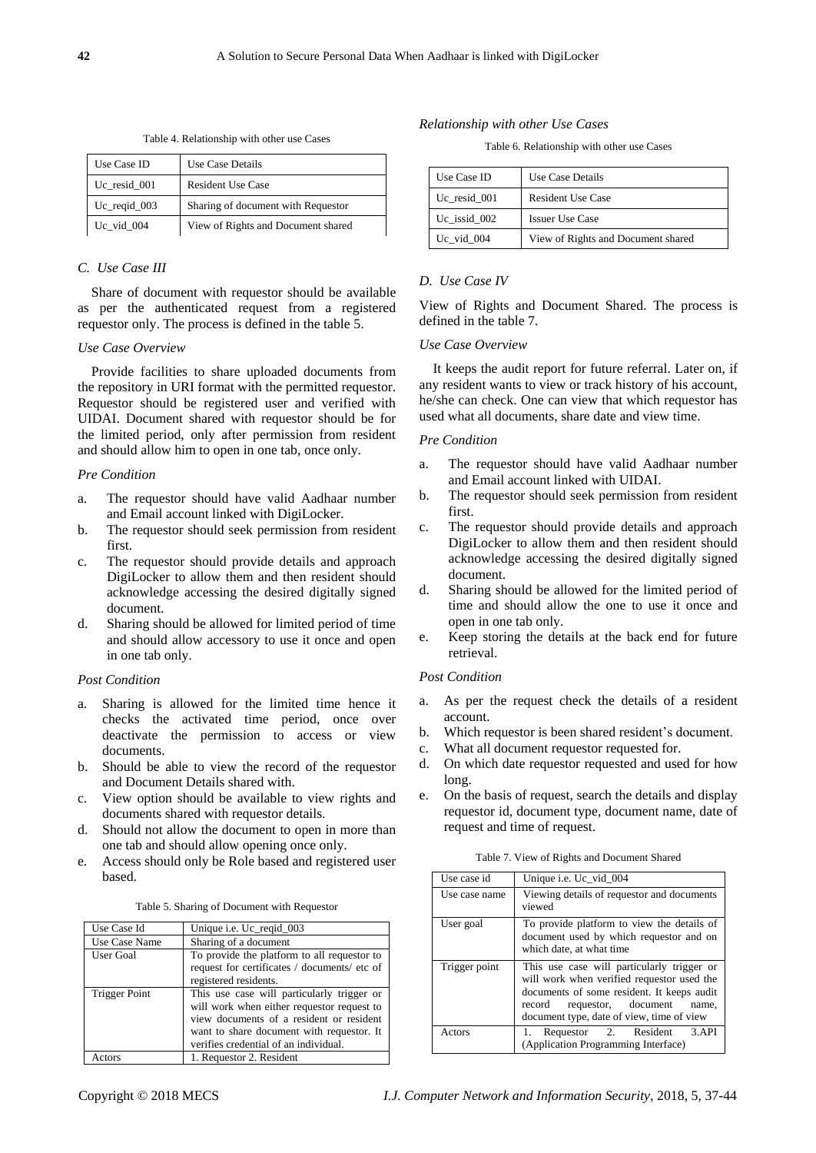Table 4. Relationship with other use Cases

| Use Case ID                 | Use Case Details                   |
|-----------------------------|------------------------------------|
| Uc resid 001                | <b>Resident Use Case</b>           |
| $Uc$ <sub>reqid</sub> $003$ | Sharing of document with Requestor |
| Uc vid 004                  | View of Rights and Document shared |

# *C. Use Case III*

Share of document with requestor should be available as per the authenticated request from a registered requestor only. The process is defined in the table 5.

# *Use Case Overview*

Provide facilities to share uploaded documents from the repository in URI format with the permitted requestor. Requestor should be registered user and verified with UIDAI. Document shared with requestor should be for the limited period, only after permission from resident and should allow him to open in one tab, once only.

# *Pre Condition*

- a. The requestor should have valid Aadhaar number and Email account linked with DigiLocker.
- b. The requestor should seek permission from resident first.
- c. The requestor should provide details and approach DigiLocker to allow them and then resident should acknowledge accessing the desired digitally signed document.
- d. Sharing should be allowed for limited period of time and should allow accessory to use it once and open in one tab only.

#### *Post Condition*

- a. Sharing is allowed for the limited time hence it checks the activated time period, once over deactivate the permission to access or view documents.
- b. Should be able to view the record of the requestor and Document Details shared with.
- c. View option should be available to view rights and documents shared with requestor details.
- d. Should not allow the document to open in more than one tab and should allow opening once only.
- e. Access should only be Role based and registered user based.

Table 5. Sharing of Document with Requestor

| Use Case Id          | Unique i.e. Uc_reqid_003                     |
|----------------------|----------------------------------------------|
| Use Case Name        | Sharing of a document                        |
| User Goal            | To provide the platform to all requestor to  |
|                      | request for certificates / documents/ etc of |
|                      | registered residents.                        |
| <b>Trigger Point</b> | This use case will particularly trigger or   |
|                      | will work when either requestor request to   |
|                      | view documents of a resident or resident     |
|                      | want to share document with requestor. It    |
|                      | verifies credential of an individual.        |
| <b>ctors</b>         | 1. Requestor 2. Resident                     |

## *Relationship with other Use Cases*

Table 6. Relationship with other use Cases

| Use Case ID   | Use Case Details                   |
|---------------|------------------------------------|
| Uc resid 001  | <b>Resident Use Case</b>           |
| Uc issid 002  | <b>Issuer Use Case</b>             |
| $Uc$ _vid_004 | View of Rights and Document shared |

# *D. Use Case IV*

View of Rights and Document Shared. The process is defined in the table 7.

## *Use Case Overview*

It keeps the audit report for future referral. Later on, if any resident wants to view or track history of his account, he/she can check. One can view that which requestor has used what all documents, share date and view time.

## *Pre Condition*

- a. The requestor should have valid Aadhaar number and Email account linked with UIDAI.
- b. The requestor should seek permission from resident first.
- c. The requestor should provide details and approach DigiLocker to allow them and then resident should acknowledge accessing the desired digitally signed document.
- d. Sharing should be allowed for the limited period of time and should allow the one to use it once and open in one tab only.
- e. Keep storing the details at the back end for future retrieval.

## *Post Condition*

- a. As per the request check the details of a resident account.
- b. Which requestor is been shared resident's document.
- c. What all document requestor requested for.
- d. On which date requestor requested and used for how long.
- e. On the basis of request, search the details and display requestor id, document type, document name, date of request and time of request.

|  |  |  | Table 7. View of Rights and Document Shared |  |
|--|--|--|---------------------------------------------|--|
|--|--|--|---------------------------------------------|--|

| Use case id   | Unique i.e. Uc_vid_004                                                                                                                                                                                                     |
|---------------|----------------------------------------------------------------------------------------------------------------------------------------------------------------------------------------------------------------------------|
| Use case name | Viewing details of requestor and documents<br>viewed                                                                                                                                                                       |
| User goal     | To provide platform to view the details of<br>document used by which requestor and on<br>which date, at what time                                                                                                          |
| Trigger point | This use case will particularly trigger or<br>will work when verified requestor used the<br>documents of some resident. It keeps audit<br>requestor, document name,<br>record<br>document type, date of view, time of view |
| Actors        | Requestor 2. Resident<br>3.API<br>(Application Programming Interface)                                                                                                                                                      |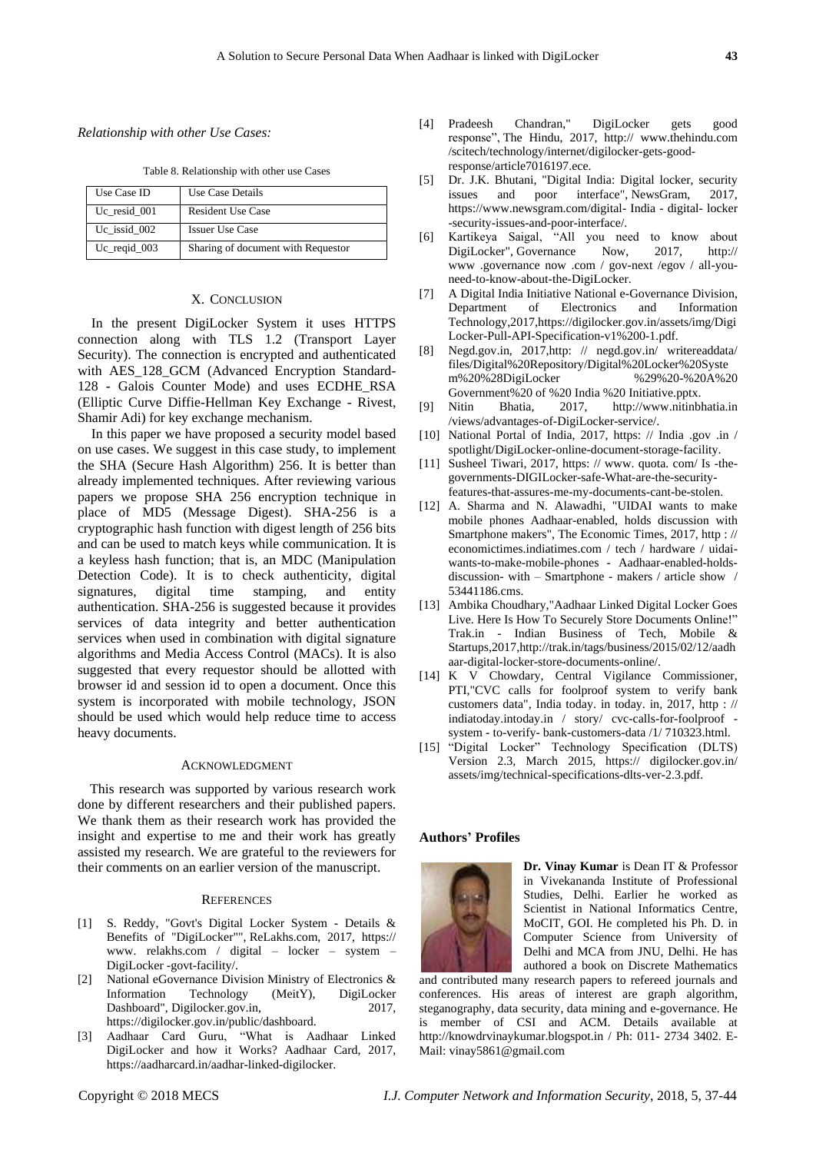*Relationship with other Use Cases:*

Table 8. Relationship with other use Cases

| Use Case ID                 | Use Case Details                   |
|-----------------------------|------------------------------------|
| Uc resid 001                | Resident Use Case                  |
| Uc issid 002                | <b>Issuer Use Case</b>             |
| $Uc$ <sub>reqid</sub> $003$ | Sharing of document with Requestor |

## X. CONCLUSION

In the present DigiLocker System it uses HTTPS connection along with TLS 1.2 (Transport Layer Security). The connection is encrypted and authenticated with AES 128 GCM (Advanced Encryption Standard-128 - Galois Counter Mode) and uses ECDHE\_RSA (Elliptic Curve Diffie-Hellman Key Exchange - Rivest, Shamir Adi) for key exchange mechanism.

In this paper we have proposed a security model based on use cases. We suggest in this case study, to implement the SHA (Secure Hash Algorithm) 256. It is better than already implemented techniques. After reviewing various papers we propose SHA 256 encryption technique in place of MD5 (Message Digest). SHA-256 is a cryptographic hash function with digest length of 256 bits and can be used to match keys while communication. It is a keyless hash function; that is, an MDC (Manipulation Detection Code). It is to check authenticity, digital signatures, digital time stamping, and entity authentication. SHA-256 is suggested because it provides services of data integrity and better authentication services when used in combination with digital signature algorithms and Media Access Control (MACs). It is also suggested that every requestor should be allotted with browser id and session id to open a document. Once this system is incorporated with mobile technology, JSON should be used which would help reduce time to access heavy documents.

## ACKNOWLEDGMENT

This research was supported by various research work done by different researchers and their published papers. We thank them as their research work has provided the insight and expertise to me and their work has greatly assisted my research. We are grateful to the reviewers for their comments on an earlier version of the manuscript.

#### **REFERENCES**

- [1] S. Reddy, "Govt's Digital Locker System Details & Benefits of "DigiLocker"", ReLakhs.com, 2017, https:// www. relakhs.com / digital – locker – system – DigiLocker -govt-facility/.
- [2] National eGovernance Division Ministry of Electronics & Information Technology (MeitY), DigiLocker Dashboard", Digilocker.gov.in, 2017, https://digilocker.gov.in/public/dashboard.
- [3] Aadhaar Card Guru, "What is Aadhaar Linked DigiLocker and how it Works? Aadhaar Card, 2017, https://aadharcard.in/aadhar-linked-digilocker.
- [4] Pradeesh Chandran," DigiLocker gets good response", The Hindu, 2017, http:// www.thehindu.com /scitech/technology/internet/digilocker-gets-goodresponse/article7016197.ece.
- [5] Dr. J.K. Bhutani, "Digital India: Digital locker, security issues and poor interface", NewsGram, 2017, https://www.newsgram.com/digital- India - digital- locker -security-issues-and-poor-interface/.
- [6] Kartikeya Saigal, "All you need to know about DigiLocker", Governance Now, 2017, http:// www .governance now .com / gov-next /egov / all-youneed-to-know-about-the-DigiLocker.
- [7] A Digital India Initiative National e-Governance Division, Department of Electronics and Information Technology,2017,https://digilocker.gov.in/assets/img/Digi Locker-Pull-API-Specification-v1%200-1.pdf.
- [8] Negd.gov.in, 2017,http: // negd.gov.in/ writereaddata/ files/Digital%20Repository/Digital%20Locker%20Syste m%20%28DigiLocker %29%20-%20A%20 Government%20 of %20 India %20 Initiative.pptx.
- [9] Nitin Bhatia, 2017, http://www.nitinbhatia.in /views/advantages-of-DigiLocker-service/.
- [10] National Portal of India, 2017, https: // India .gov .in / spotlight/DigiLocker-online-document-storage-facility.
- [11] Susheel Tiwari, 2017, https: // www. quota. com/ Is -thegovernments-DIGILocker-safe-What-are-the-securityfeatures-that-assures-me-my-documents-cant-be-stolen.
- [12] A. Sharma and N. Alawadhi, "UIDAI wants to make mobile phones Aadhaar-enabled, holds discussion with Smartphone makers", The Economic Times, 2017, http : // economictimes.indiatimes.com / tech / hardware / uidaiwants-to-make-mobile-phones - Aadhaar-enabled-holdsdiscussion- with – Smartphone - makers / article show / 53441186.cms.
- [13] Ambika Choudhary,"Aadhaar Linked Digital Locker Goes Live. Here Is How To Securely Store Documents Online!" Trak.in - Indian Business of Tech, Mobile & Startups,2017,http://trak.in/tags/business/2015/02/12/aadh aar-digital-locker-store-documents-online/.
- [14] K V Chowdary, Central Vigilance Commissioner, PTI,"CVC calls for foolproof system to verify bank customers data", India today. in today. in, 2017, http : // indiatoday.intoday.in / story/ cvc-calls-for-foolproof system - to-verify- bank-customers-data /1/ 710323.html.
- [15] "Digital Locker" Technology Specification (DLTS) Version 2.3, March 2015, https:// digilocker.gov.in/ assets/img/technical-specifications-dlts-ver-2.3.pdf.

## **Authors' Profiles**



**Dr. Vinay Kumar** is Dean IT & Professor in Vivekananda Institute of Professional Studies, Delhi. Earlier he worked as Scientist in National Informatics Centre, MoCIT, GOI. He completed his Ph. D. in Computer Science from University of Delhi and MCA from JNU, Delhi. He has authored a book on Discrete Mathematics

and contributed many research papers to refereed journals and conferences. His areas of interest are graph algorithm, steganography, data security, data mining and e-governance. He is member of CSI and ACM. Details available at http://knowdrvinaykumar.blogspot.in / Ph: 011- 2734 3402. E-Mail: vinay5861@gmail.com